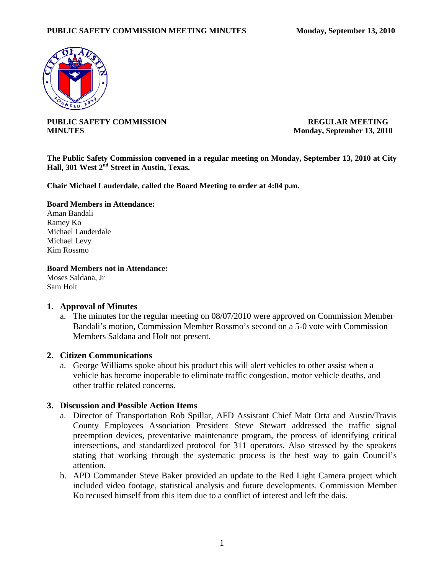

**PUBLIC SAFETY COMMISSION REGULAR MEETING MINUTES** Monday, September 13, 2010

**The Public Safety Commission convened in a regular meeting on Monday, September 13, 2010 at City Hall, 301 West 2nd Street in Austin, Texas.** 

**Chair Michael Lauderdale, called the Board Meeting to order at 4:04 p.m.** 

### **Board Members in Attendance:**

Aman Bandali Ramey Ko Michael Lauderdale Michael Levy Kim Rossmo

### **Board Members not in Attendance:**

Moses Saldana, Jr Sam Holt

### **1. Approval of Minutes**

a. The minutes for the regular meeting on 08/07/2010 were approved on Commission Member Bandali's motion, Commission Member Rossmo's second on a 5-0 vote with Commission Members Saldana and Holt not present.

## **2. Citizen Communications**

a. George Williams spoke about his product this will alert vehicles to other assist when a vehicle has become inoperable to eliminate traffic congestion, motor vehicle deaths, and other traffic related concerns.

### **3. Discussion and Possible Action Items**

- a. Director of Transportation Rob Spillar, AFD Assistant Chief Matt Orta and Austin/Travis County Employees Association President Steve Stewart addressed the traffic signal preemption devices, preventative maintenance program, the process of identifying critical intersections, and standardized protocol for 311 operators. Also stressed by the speakers stating that working through the systematic process is the best way to gain Council's attention.
- b. APD Commander Steve Baker provided an update to the Red Light Camera project which included video footage, statistical analysis and future developments. Commission Member Ko recused himself from this item due to a conflict of interest and left the dais.